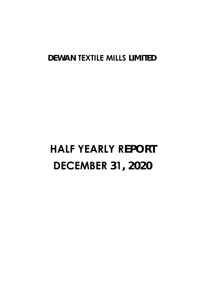## **DEWAN TEXTILE MILLS LIMITED**

# **HALF YEARLY REPORT DECEMBER 31, 2020**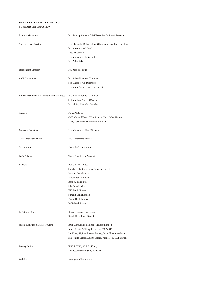#### **DEWAN TEXTILE MILLS LIMITED COMPANY INFORMATION**

| <b>Executive Directors</b>                                              | : Mr. Ishtiaq Ahmed - Chief Executive Officer & Director                                                                                                                                                                                              |
|-------------------------------------------------------------------------|-------------------------------------------------------------------------------------------------------------------------------------------------------------------------------------------------------------------------------------------------------|
| Non-Exective Director                                                   | : Mr. Ghazanfar Baber Siddiqi (Chairman, Board of Director)<br>Mr. Imran Ahmed Javed<br>Syed Maqbool Ali<br>Mr. Muhammad Baqar Jafferi<br>Mr. Zafar Asim                                                                                              |
| <b>Independent Director</b>                                             | : Mr. Aziz-ul-Haque                                                                                                                                                                                                                                   |
| <b>Audit Committee</b>                                                  | : Mr. Aziz-ul-Haque - Chairman<br>Sed Maqbool Ali (Member)<br>Mr. Imran Ahmed Javed (Member)                                                                                                                                                          |
| Human Resources & Remuneration Committee : Mr. Aziz-ul-Haque - Chairman | Sed Maqbool Ali (Member)<br>Mr. Ishtiaq Ahmad - (Member)                                                                                                                                                                                              |
| <b>Auditors</b>                                                         | : Faruq Ali & Co.<br>C-88, Ground Floor, KDA Scheme No. 1, Main Karsaz<br>Road, Opp. Martime Museum Karachi.                                                                                                                                          |
| Company Secretary                                                       | : Mr. Muhammad Hanif German                                                                                                                                                                                                                           |
| Chief Financial Officer                                                 | : Mr. Muhammad Irfan Ali                                                                                                                                                                                                                              |
| Tax Advisor                                                             | : Sharif & Co. Advocates                                                                                                                                                                                                                              |
| Legal Advisor                                                           | : Abbas & Atif Law Associates                                                                                                                                                                                                                         |
| <b>Bankers</b>                                                          | : Habib Bank Limited<br>Standard Chartered Bank Pakistan Limited<br>Meezan Bank Limited<br>United Bank Limited<br>Bank Al-Falah Ltd<br>Silk Bank Limited<br>NIB Bank Limited<br>Summit Bank Limited<br>Faysal Bank Limited<br><b>MCB Bank Limited</b> |
| Registered Office                                                       | : Dewan Centre, 3-A Lalazar<br>Beach Hotel Road, Karaci                                                                                                                                                                                               |
| Shares Registrar & Transfer Agent                                       | : BMF Consultants Pakistan (Private) Limited<br>Anum Estate Building, Room No. 310 & 311,<br>3rd Floor, 49, Darul Aman Society, Main Shahrah-e-Faisal<br>adjacent to Baloch Colony Bridge, Karachi 75350, Pakistan.                                   |
| Factory Office                                                          | : H/20 & H/26, S.I.T.E., Kotri,<br>District Jamshoro, Sind, Pakistan                                                                                                                                                                                  |
| Website                                                                 | : www.yousufdewan.com                                                                                                                                                                                                                                 |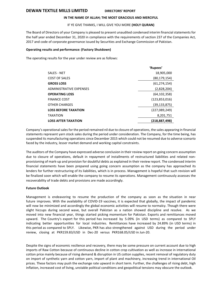#### **DEWAN TEXTILE MILLS LIMITED DIRECTORS' REPORT**

#### **IN THE NAME OF ALLAH; THE MOST GRACIOUS AND MERCIFUL**

#### IF YE GIVE THANKS, I WILL GIVE YOU MORE **(HOLY QURAN)**

The Board of Directors of your Company is pleased to present unaudited condensed interim financial statements for the half year ended December 31, 2020 in compliance with the requirements of section 237 of the Companies Act, 2017 and code of corporate governance issued by Securities and Exchange Commission of Pakistan.

#### **Operating results and performance: (Factory Shutdown)**

The operating results for the year under review are as follows:

|                                | 'Rupees'        |
|--------------------------------|-----------------|
| <b>SALES - NET</b>             | 18,905,000      |
| COST OF SALES                  | (80,179,154)    |
| <b>GROSS LOSS</b>              | (61, 274, 154)  |
| <b>ADMINISTRATIVE EXPENSES</b> | (2,828,204)     |
| <b>OPERATING LOSS</b>          | (64, 102, 358)  |
| <b>FINANCE COST</b>            | (123, 853, 016) |
| OTHER CHARGES                  | (39,133,875)    |
| <b>LOSS BEFORE TAXATION</b>    | (227,089,249)   |
| <b>TAXATION</b>                | 8,201,751       |
| <b>LOSS AFTER TAXATION</b>     | (218,887,498)   |

Company's operational sales for the period remained nil due to closure of operations, the sales appearing in financial statements represent yarn stock sales during the period under consideration. The Company, for the time being, has suspended its manufacturing operations since December 2015 which could not be resumed due to adverse scenario faced by the industry, lesser market demand and working capital constraints.

The auditors of the Company have expressed adverse conclusion in their review report on going concern assumption due to closure of operations, default in repayment of installments of restructured liabilities and related nonprovisioning of mark-up and provision for doubtful debts as explained in their review report. The condensed interim financial statements have been prepared using going concern assumption as the company has approached its lenders for further restructuring of its liabilities, which is in process. Management is hopeful that such revision will be finalized soon which will enable the company to resume its operations. Management continuously assesses the recoverability of trade debts and provisions are made accordingly.

#### **Future Outlook**

Management is endeavoring to resume the production of the company as soon as the situation in near future improves. With the availability of COVID-19 vaccines, it is expected that globally, the impact of pandemic will now be minimized and accordingly the global economic activities will resume to normalcy. Though there were slight hiccups during second wave, but overall Pakistan as a nation showed discipline and resolve. As we moved into new financial year, things started picking momentum for Pakistan. Exports and remittances moved upward. The Country's export for this period has increased by 5.09% (in USD terms) as compared to SPLY indicating better opportunities for local industries. Remittances have increased by 24.89% (in USD terms) in this period as compared to SPLY. Likewise, PKR has also strengthened against USD during the period under review, closing at PKR159.83/USD in Dec-20 versus PKR168.05/USD in Jun-20.

Despite the signs of economic resilience and recovery, there may be some pressure on current account due to high imports of Raw Cotton because of continuous decline in cotton crop cultivation as well as increase in international cotton price mainly because of rising demand & disruption in US cotton supplies, recent removal of regulatory duty on import of synthetic yarn and cotton yarn, import of plant and machinery, increasing trend in international Oil prices. These factors may push the exchange rate upward in short term. Further, the challenges of rising debt, high inflation, increased cost of living, unstable political conditions and geopolitical tensions may obscure the outlook.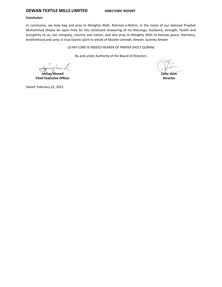### **DEWAN TEXTILE MILLS LIMITED DIRECTORS' REPORT**

#### **Conclusion**

In conclusion, we bow beg and pray to Almighty Allah, Rahman-o-Rahim, in the name of our beloved Prophet Muhammad (Peace be upon him) for the continued showering of his blessings, Guidance, strength, health and prosperity to us, our company, country and nation, and also pray to Almighty Allah to bestow peace, Harmony, brotherhood and unity in true Islamic spirit to whole of Muslim Ummah; Ameen: Summa Ameen

LO-MY LORD IS INDEED HEARER OF PRAYER (HOLY QURAN)

By and under Authority of the Board of Directors

**Ishtiaq Ahmed Chief Executive Officer**

**Zafar Asim**

**Director**

Dated: February 22, 2021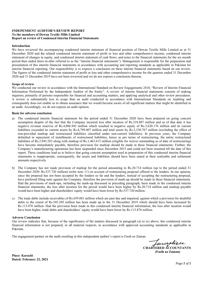#### **INDEPENDENT AUDITOR'S REVIEW REPORT To the members of Dewan Textile Mills Limited Report on review of Condensed Interim Financial Statements**

#### **Introduction**

We have reviewed the accompanying condensed interim statement of financial position of Dewan Textile Mills Limited as at 31 December 2020 and the related condensed interim statement of profit or loss and other comprehensive income, condensed interim statement of changes in equity, and condensed interim statement of cash flows, and notes to the financial statements for the six-month period then ended (here-in-after referred to as the "interim financial statements"). Management is responsible for the preparation and presentation of this interim financial statements in accordance with accounting and reporting standards as applicable in Pakistan for interim financial reporting. Our responsibility is to express a conclusion on these interim financial statements based on our review. The figures of the condensed interim statement of profit or loss and other comprehensive income for the quarters ended 31 December 2020 and 31 December 2019 have not been reviewed and we do not express a conclusion thereon.

#### **Scope of review**

We conducted our review in accordance with the International Standard on Review Engagements 2410, "Review of Interim Financial Information Performed by the Independent Auditor of the Entity". A review of interim financial statements consists of making inquiries, primarily of persons responsible for financial and accounting matters, and applying analytical and other review procedures. A review is substantially less in scope than an audit conducted in accordance with International Standards on Auditing and consequently does not enable us to obtain assurance that we would become aware of all significant matters that might be identified in an audit. Accordingly, we do not express an audit opinion.

#### **Basis for adverse conclusion**

- a) The condensed interim financial statement for the period ended 31 December 2020 have been prepared on going concern assumption despite of the fact that the Company incurred loss after taxation of Rs.218.887 million and as of that date it has negative revenue reserves of Rs.4,806.943 million which resulted in negative equity of Rs.3,620.176 million and its current liabilities exceeded its current assets by Rs.4,799.407 million and total assets by Rs.3,330.767 million (excluding the effect of non-provided markup and restructured liabilities classified under non-current liabilities). In previous years, the Company defaulted in repayment of installments of restructured liabilities, hence as per terms of restructuring, the entire restructured liabilities of Rs.2,945.283 along with markup of Rs.1,463.615 million (eligible for waiver outstanding as of date of restructuring) have become immediately payable, therefore provision for markup should be made in these financial statements. Further, the Company's manufacturing operations has been suspended since December 2015 and could not been resumed till the date of this report. These conditions lead us to believe that going concern assumption used in preparation of this condensed interim financial statements is inappropriate; consequently, the assets and liabilities should have been stated at their realisable and settlement amounts respectively.
- b) The Company has not made provision of markup for the period amounting to Rs.20.714 million (up to the period ended 31 December 2020: Rs.537.720 million) (refer note 11) on account of restructuring proposal offered to the lenders. In our opinion, since the proposal has not been accepted by the lenders so far and the lenders, instead of accepting the restructuring proposal, have preferred filing suits against the Company, therefore the provision of mark-up should be made in these financial statements. Had the provisions of mark-ups, including the mark-up discussed in preceding paragraph, been made in the condensed interim financial statements, the loss after taxation for the period would have been higher by Rs.20.714 million and markup payable would have been higher and shareholders' equity would have been lower by Rs.537.720 million.
- c) The trade debts include receivables of Rs.659.081 million which are past due and impaired, against which a provision for doubtful debts to the extent of Rs.545.205 million has been made up to the 31 December 2019 which should have been increased by Rs.113.876 million. Had the provision been made in this condensed interim financial information, the loss after taxation would have been higher, trade debts and shareholders' equity would have been lower by Rs.113.876 million.

#### **Adverse Conclusion**

Our review indicates that, because of the significance of the matters discussed in paragraph (a) to (c) above, this condensed interim financial information is not prepared, in all material respects, in accordance with approved accounting standards as applicable in Pakistan.

The engagement partner on the audit resulting in this independent auditor's report is Fasih uz Zaman.

unnalis **CHARTERED ACCOUNTANTS (Fasih uz Zaman)** 

**Place: Karachi Dated: February 22, 2021** 

*Page 1 of 1*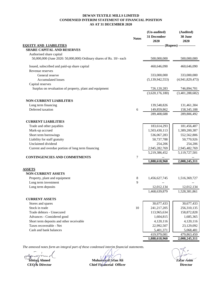#### **DEWAN TEXTILE MILLS LIMITED CONDENSED INTERIM STATEMENT OF FINANCIAL POSITION AS AT 31 DECEMBER 2020**

|                                                                     | <b>Notes</b>   | (Un-audited)<br>31 December<br>2020    | (Audited)<br>30 June<br>2020 |
|---------------------------------------------------------------------|----------------|----------------------------------------|------------------------------|
| <b>EQUITY AND LIABILITIES</b>                                       |                | -------------- (Rupees) -------------- |                              |
| <b>SHARE CAPITAL AND RESERVES</b>                                   |                |                                        |                              |
| Authorised share capital                                            |                |                                        |                              |
| 50,000,000 (June 2020: 50,000,000) Ordinary shares of Rs. 10/- each |                | 500,000,000                            | 500,000,000                  |
| Issued, subscribed and paid-up share capital                        |                | 460,646,090                            | 460,646,090                  |
| Revenue reserves                                                    |                |                                        |                              |
| General reserve                                                     |                | 333,000,000                            | 333,000,000                  |
| <b>Accumulated losses</b>                                           |                | (5,139,942,553)                        | (4,941,829,473)              |
| Capital reserves                                                    |                |                                        |                              |
| Surplus on revaluation of property, plant and equipment             |                | 726,120,283                            | 746,894,701                  |
|                                                                     |                | (3,620,176,180)                        | (3,401,288,682)              |
| <b>NON-CURRENT LIABILITIES</b>                                      |                |                                        |                              |
| Long term financing                                                 |                | 139,548,826                            | 131,461,304                  |
| Deferred taxation                                                   | 6              | 149,859,862                            | 158, 345, 188                |
|                                                                     |                | 289,408,688                            | 289,806,492                  |
| <b>CURRENT LIABILITIES</b>                                          |                |                                        |                              |
| Trade and other payables                                            |                | 183,614,293                            | 181,456,407                  |
| Mark-up accrued                                                     |                | 1,503,430,113                          | 1,389,200,387                |
| Short term borrowings                                               |                | 536,067,283                            | 552,562,806                  |
| Liability for staff gratuity                                        |                | 50,737,788                             | 50,770,926                   |
| Unclaimed dividend                                                  |                | 254,206                                | 254,206                      |
| Current and overdue portion of long term financing                  |                | 2,945,282,769                          | 2,945,482,769                |
|                                                                     |                | 5,219,386,452                          | 5,119,727,501                |
| <b>CONTINGENCIES AND COMMITMENTS</b>                                | $\overline{7}$ |                                        |                              |
|                                                                     |                | 1,888,618,960                          | 2,008,245,311                |
| <b>ASSETS</b>                                                       |                |                                        |                              |
| <b>NON-CURRENT ASSETS</b>                                           |                |                                        |                              |
| Property, plant and equipment                                       | 8              | 1,456,627,745                          | 1,516,369,727                |
| Long term investment                                                | 9              |                                        |                              |
| Long term deposits                                                  |                | 12,012,134                             | 12,012,134                   |
|                                                                     |                | 1,468,639,879                          | 1,528,381,861                |
| <b>CURRENT ASSETS</b>                                               |                |                                        |                              |
| Stores and spares                                                   |                | 30,677,433                             | 30,677,433                   |
| Stock in trade                                                      | 10             | 241,217,205                            | 256,310,135                  |
| Trade debtors - Unsecured                                           |                | 113,965,634                            | 158,872,828                  |
| Advances - Considered good                                          |                | 1,604,815                              | 1,685,365                    |
| Short term deposits and other receivable                            |                | 4,120,116                              | 4,120,116                    |
| Taxes recoverable - Net                                             |                | 22,992,507                             | 23,129,092                   |
| Cash and bank balances                                              |                | 5,401,371                              | 5,068,481                    |
|                                                                     |                | 419,979,081                            | 479,863,450                  |
|                                                                     |                | 1,888,618,960                          | 2,008,245,311                |

**Ishtiaq Ahmed**<br>**Ishtiaq Ahmed**<br>**CEO & Director** 

**CEO/& Director Director Director Director Chief Financeial Officer Director Director Muhammad Irfan Ali Zafar Asim**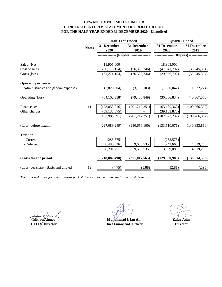#### **DEWAN TEXTILE MILLS LIMITED CONDENSED INTERIM STATEMENT OF PROFIT OR LOSS FOR THE HALF YEAR ENDED 31 DECEMBER 2020 - Unaudited**

|                                      |              | <b>Half Year Ended</b> |                            | <b>Quarter Ended</b>     |                     |  |
|--------------------------------------|--------------|------------------------|----------------------------|--------------------------|---------------------|--|
|                                      | <b>Notes</b> | 31 December<br>2020    | 31 December<br>2019        | 31 December<br>2020      | 31 December<br>2019 |  |
|                                      |              |                        | - (Rupees) --------------- | ------------- (Rupees) - |                     |  |
| Sales - Net                          |              | 18,905,000             |                            | 18,905,000               |                     |  |
| Cost of sales                        |              | (80, 179, 154)         | (76, 330, 746)             | (47, 941, 792)           | (38, 245, 334)      |  |
| Gross (loss)                         |              | (61, 274, 154)         | (76,330,746)               | (29,036,792)             | (38, 245, 334)      |  |
| <b>Operating expenses</b>            |              |                        |                            |                          |                     |  |
| Administrative and general expenses  |              | (2,828,204)            | (3,108,103)                | (1,850,042)              | (1,822,224)         |  |
| Operating (loss)                     |              | (64, 102, 358)         | (79, 438, 849)             | (30, 886, 834)           | (40,067,558)        |  |
| Finance cost                         | 11           | (123, 853, 016)        | (201, 217, 251)            | (63, 489, 362)           | (100, 766, 302)     |  |
| Other charges                        |              | (39, 133, 875)         |                            | (39, 133, 875)           |                     |  |
|                                      |              | (162, 986, 891)        | (201, 217, 251)            | (102, 623, 237)          | (100, 766, 302)     |  |
| (Loss) before taxation               |              | (227,089,249)          | (280, 656, 100)            | (133,510,071)            | (140, 833, 860)     |  |
| Taxation                             |              |                        |                            |                          |                     |  |
| - Current                            |              | (283, 575)             |                            | (283, 575)               |                     |  |
| - Deferred                           |              | 8,485,326              | 9,638,535                  | 4,242,663                | 4,819,268           |  |
|                                      |              | 8,201,751              | 9,638,535                  | 3,959,088                | 4,819,268           |  |
| (Loss) for the period                |              | (218, 887, 498)        | (271, 017, 565)            | (129, 550, 983)          | (136, 014, 592)     |  |
| (Loss) per share - Basic and diluted | 12           | (4.75)                 | (5.88)                     | (2.81)                   | (2.95)              |  |

**Ishtiaq Ahmed CEO & Director**

**Muhammad Irfan Ali Zafar Asim Chief Financeial Officer**

**Director**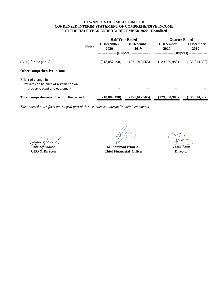#### **DEWAN TEXTILE MILLS LIMITED CONDENSED INTERIM STATEMENT OF COMPREHENSIVE INCOME FOR THE HALF YEAR ENDED 31 DECEMBER 2020 - Unaudited**

|                                                                                                |              | <b>Half Year Ended</b> |                     | <b>Ouarter Ended</b> |                          |
|------------------------------------------------------------------------------------------------|--------------|------------------------|---------------------|----------------------|--------------------------|
|                                                                                                | <b>Notes</b> | 31 December<br>2020    | 31 December<br>2019 | 31 December<br>2020  | 31 December<br>2019      |
|                                                                                                |              |                        | $(Rupees) -$        |                      | (Rupees) --------------- |
| (Loss) for the period                                                                          |              | (218, 887, 498)        | (271, 017, 565)     | (129, 550, 983)      | (136, 014, 592)          |
| Other comprehensive income:                                                                    |              |                        |                     |                      |                          |
| Effect of change in<br>tax rates on balance of revaluation on<br>property, plant and equipment |              |                        | $- -$               |                      |                          |
| Total comprehensive (loss) for the period                                                      |              | (218, 887, 498)        | (271, 017, 565)     | (129, 550, 983)      | (136, 014, 592)          |

**Ishtiaq Ahmed**<br> **Ishtiaq Ahmed**<br> **CEO & Director**<br> **CHEO & Director**<br> **CHEO & Director**<br> **CHEO & Director Chief Financeial Officer** 

**Director**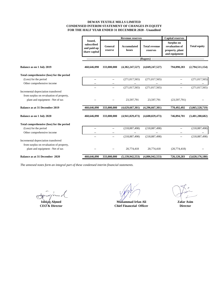#### **DEWAN TEXTILE MILLS LIMITED CONDENSED INTERIM STATEMENT OF CHANGES IN EQUITY FOR THE HALF YEAR ENDED 31 DECEMBER 2020 - Unaudited**

|                                           |                                                              | <b>Revenue reserves</b>  |                              | <b>Capital reserves</b>          |                                                                         |                     |
|-------------------------------------------|--------------------------------------------------------------|--------------------------|------------------------------|----------------------------------|-------------------------------------------------------------------------|---------------------|
|                                           | <b>Issued.</b><br>subscribed<br>and paid-up<br>share capital | General<br>reserve       | <b>Accumulated</b><br>losses | <b>Total revenue</b><br>reserves | <b>Surplus on</b><br>revaluation of<br>property, plant<br>and equipment | <b>Total equity</b> |
|                                           |                                                              |                          |                              | (Rupees) --                      |                                                                         |                     |
| Balance as on 1 July 2019                 | 460,646,090                                                  | 333,000,000              | (4,382,247,527)              | (4,049,247,527)                  | 794,090,283                                                             | (2,794,511,154)     |
| Total comprehensive (loss) for the period |                                                              |                          |                              |                                  |                                                                         |                     |
| (Loss) for the period                     |                                                              | $\overline{\phantom{a}}$ | (271, 017, 565)              | (271, 017, 565)                  | --                                                                      | (271, 017, 565)     |
| Other comprehensive income                |                                                              |                          |                              |                                  |                                                                         |                     |
|                                           |                                                              | $-$                      | (271, 017, 565)              | (271, 017, 565)                  | $\overline{a}$                                                          | (271, 017, 565)     |
| Incremental depreciation transferred      |                                                              |                          |                              |                                  |                                                                         |                     |
| from surplus on revaluation of property,  |                                                              |                          |                              |                                  |                                                                         |                     |
| plant and equipment - Net of tax          |                                                              |                          | 23,597,791                   | 23,597,791                       | (23,597,791)                                                            |                     |
| <b>Balance as at 31 December 2019</b>     | 460,646,090                                                  | 333,000,000              | (4,629,667,301)              | (4,296,667,301)                  | 770,492,492                                                             | (3,065,528,719)     |
| Balance as on 1 July 2020                 | 460,646,090                                                  | 333,000,000              | (4,941,829,473)              | (4,608,829,473)                  | 746,894,701                                                             | (3,401,288,682)     |
| Total comprehensive (loss) for the period |                                                              |                          |                              |                                  |                                                                         |                     |
| (Loss) for the period                     |                                                              | $\overline{a}$           | (218, 887, 498)              | (218, 887, 498)                  |                                                                         | (218, 887, 498)     |
| Other comprehensive income                |                                                              | $\overline{a}$           |                              |                                  |                                                                         |                     |
|                                           |                                                              | $\overline{a}$           | (218, 887, 498)              | (218, 887, 498)                  | --                                                                      | (218, 887, 498)     |
| Incremental depreciation transferred      |                                                              |                          |                              |                                  |                                                                         |                     |
| from surplus on revaluation of property,  |                                                              |                          |                              |                                  |                                                                         |                     |
| plant and equipment - Net of tax          |                                                              |                          | 20,774,418                   | 20,774,418                       | (20,774,418)                                                            |                     |
| Balance as at 31 December 2020            | 460,646,090                                                  | 333,000,000              | (5,139,942,553)              | (4,806,942,553)                  | 726,120,283                                                             | (3,620,176,180)     |

**Ishtigq** Ahmed **CEO & Director**

**Muhammad Irfan Ali Chief Financeial Officer**

**Zafar Asim Director**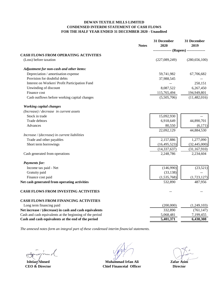#### **DEWAN TEXTILE MILLS LIMITED CONDENSED INTERIM STATEMENT OF CASH FLOWS FOR THE HALF YEAR ENDED 31 DECEMBER 2020 - Unaudited**

|                                                          | <b>Notes</b> | 31 December<br>2020 | 31 December<br>2019                   |
|----------------------------------------------------------|--------------|---------------------|---------------------------------------|
|                                                          |              |                     | ------------ (Rupees) --------------- |
| <b>CASH FLOWS FROM OPERATING ACTIVITIES</b>              |              |                     |                                       |
| (Loss) before taxation                                   |              | (227,089,249)       | (280, 656, 100)                       |
| Adjustment for non-cash and other items:                 |              |                     |                                       |
| Depreciation / amortisation expense                      |              | 59,741,982          | 67,706,682                            |
| Provision for doubtful debts                             |              | 37,988,545          |                                       |
| Interest on Workers' Profit Participation Fund           |              |                     | 250,151                               |
| Unwinding of discount                                    |              | 8,087,522           | 6,267,450                             |
| Finance cost                                             |              | 115,765,494         | 194,949,801                           |
| Cash outflows before working capital changes             |              | (5,505,706)         | (11, 482, 016)                        |
| <b>Working capital changes</b>                           |              |                     |                                       |
| $(Increase) / decrease$ in current assets                |              |                     |                                       |
| Stock in trade                                           |              | 15,092,930          |                                       |
| Trade debtors                                            |              | 6,918,649           | 44,890,701                            |
| Advances                                                 |              | 80,550              | (6,171)                               |
|                                                          |              | 22,092,129          | 44,884,530                            |
| Increase / (decrease) in current liabilities             |              |                     |                                       |
| Trade and other payables                                 |              | 2,157,886           | 1,277,090                             |
| Short term borrowings                                    |              | (16, 495, 523)      | (32, 445, 000)                        |
|                                                          |              | (14, 337, 637)      | (31, 167, 910)                        |
| Cash generated from operations                           |              | 2,248,786           | 2,234,604                             |
| <b>Payments for:</b>                                     |              |                     |                                       |
| Income tax paid - Net                                    |              | (146,990)           | (23,521)                              |
| Gratuity paid                                            |              | (33, 138)           |                                       |
| Finance cost paid                                        |              | (1,535,768)         | (1,723,127)                           |
| Net cash generated from operating activities             |              | 532,890             | 487,956                               |
| <b>CASH FLOWS FROM INVESTING ACTIVITIES</b>              |              |                     |                                       |
| <b>CASH FLOWS FROM FINANCING ACTIVITIES</b>              |              |                     |                                       |
| Long term financing paid                                 |              | (200,000)           | (1,249,103)                           |
| Net increase / (decrease) in cash and cash equivalents   |              | 332,890             | (761, 147)                            |
| Cash and cash equivalents at the beginning of the period |              | 5,068,481           | 7,199,455                             |
| Cash and cash equivalents at the end of the period       |              | 5,401,371           | 6,438,308                             |

**Ishtiaq Ahmed**

**CEO & Director Chief Financeial Officer Director Director Muhammad Irfan Ali Zafar Asim**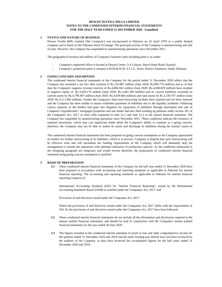#### **DEWAN TEXTILE MILLS LIMITED NOTES TO THE CONDENSED INTERIM FINANCIAL STATEMENTS FOR THE HALF YEAR ENDED 31 DECEMBER 2020 - Unaudited**

#### **1 STATUS AND NATURE OF BUSINESS**

Dewan Textile Mills Limited ('the Company') was incorporated in Pakistan on 16 April 1970 as a public limited company and is listed on the Pakistan Stock Exchange. The principal activity of the Company is manufacturing and sale of yarn. However, the Company has suspended its manufacturing operations since December 2015.

The geographical location and address of Company's business units including plant is as under:

- Company's registered office is located at Dewan Centre, 3-A Lalazar, Beach Hotel Road, Karachi.
- Company's production plant is situated at H/20 & H/26, S.I.T.E., Kotri, District Jamshoro, Sindh, Pakistan.

#### **2 GOING CONCERN ASSUMPTION**

The condensed interim financial statements of the Company for the period ended 31 December 2020 reflect that the Company has sustained a net loss after taxation of Rs.218.887 million (June 2020: Rs.606.778 million) and as of that date the Company's negative revenue reserves of Rs.4,806.943 million (June 2020: Rs.4,608.829 million) have resulted in negative equity of Rs.3,620.176 million (June 2020: Rs.3,401.289 million) and its current liabilities exceeded its current assets by Rs.4,799.407 million (June 2020: Rs.4,639.864 million) and total assets by Rs.3,330.767 million (June 2020: Rs.3,111.482 million). Further the Company's short term borrowing facilities have expired and not been renewed and the Company has been unable to ensure scheduled payments of liabilities due to the liquidity problems. Following course, majority of the lenders had gone into litigation for repayment of liabilities through attachment and sale of Company's hypothecated / mortgaged properties and one lender had also filed winding up petitions under section 301 of the Companies Act, 2017 as more fully explained in note 12.1 and note 12.2 to the annual financial statement. The Company has suspended its manufacturing operations since December 2015. These conditions indicate the existence of material uncertainty, which may cast significant doubt about the Company's ability to continue as a going concern, therefore, the Company may not be able to realize its assets and discharge its liabilities during the normal course of b i

The condensed interim financial statements has been prepared on going concern assumption as the Company approached its lenders for further restructuring of its liabilities, which is in process. Company is hopeful that such restructuring will be effective soon and will streamline the funding requirements of the Company which will ultimately help the management to resume the operations with optimum utilisation of production capacity. As the conditions mentioned in the foregoing paragraph are temporary and would reverse therefore, the preparation of condensed interim financial statement using going concern assumption is justified.

#### **3 BASIS OF PREPARATION**

**3.1** These condensed interim financial statements of the Company for the half year ended 31 December 2020 have been prepared in accordance with accounting and reporting standards as applicable in Pakistan for interim financial reporting. The accounting and reporting standards as applicable in Pakistan for interim financial reporting comprise of:

International Accounting Standard (IAS) 34, "Interim Financial Reporting", issued by the International Accounting Standards Board (IASB) as notified under the Companies Act, 2017: and

Provisions of and directives issued under the Companies Act, 2017.

Where the provisions of and directives issued under the Companies Act, 2017 differ with the requirements of IAS 34, the provisions of and directives issued under the Companies Act, 2017 have been followed.

- **3.2** These condensed interim financial statements do not include all the information and disclosures required in the annual audited financial statements, and should be read in conjunction with the Company's annual audited financial statements for the year ended 30 June 2020.
- **3.3** The figures included in the condensed interim statement of profit or loss and other comprehensive income for the quarters ended 31 December 2020 and 2019 and the notes forming part thereof have not been reviewed by the auditors of the Company, as they have reviewed the accumulated figures for the half years ended 31 December 2020 and 2019.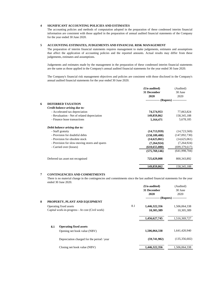#### **4 SIGNIFICANT ACCOUNTING POLICIES AND ESTIMATES**

The accounting policies and methods of computation adopted in the preparation of these condensed interim financial information are consistent with those applied in the preparation of annual audited financial statements of the Company for the year ended 30 June 2020.

#### **5 ACCOUNTING ESTIMATES, JUDGEMENTS AND FINANCIAL RISK MANAGEMENT**

The preparation of interim financial statements requires management to make judgements, estimates and assumptions that affect the application of accounting policies and the reported amounts. Actual results may differ from these judgements, estimates and assumptions.

Judgements and estimates made by the management in the preparation of these condensed interim financial statements are the same as those applied in the Company's annual audited financial statements for the year ended 30 June 2020.

The Company's financial risk management objectives and policies are consistent with those disclosed in the Company's annual audited financial statements for the year ended 30 June 2020.

|   |                                               | (Un-audited)                           | (Audited)       |
|---|-----------------------------------------------|----------------------------------------|-----------------|
|   |                                               | 31 December                            | 30 June         |
|   |                                               | 2020                                   | 2020            |
|   |                                               | -------------- (Rupees) -------------- |                 |
| 6 | <b>DEFERRED TAXATION</b>                      |                                        |                 |
|   | Credit balance arising due to:                |                                        |                 |
|   | - Accelerated tax depreciation                | 74,574,953                             | 77,063,824      |
|   | - Revaluation - Net of related depreciation   | 149,859,862                            | 158, 345, 188   |
|   | - Finance lease transactions                  | 5,164,471                              | 5,678,185       |
|   | Debit balance arising due to:                 |                                        |                 |
|   | - Staff gratuity                              | (14,713,959)                           | (14, 723, 569)  |
|   | - Provision for doubtful debts                | (158, 109, 408)                        | (147,092,730)   |
|   | - Provision for obsolete stock                | (14,625,061)                           | (14,625,061)    |
|   | - Provision for slow-moving stores and spares | (7,264,924)                            | (7,264,924)     |
|   | - Carried over (losses)                       | (610, 655, 080)                        | (699, 379, 617) |
|   |                                               | (575,769,146)                          | (641,998,704)   |
|   | Deferred tax asset not recognised             | 725,629,008                            | 800, 343, 892   |
|   |                                               | 149,859,862                            | 158, 345, 188   |

#### **7 CONTINGENCIES AND COMMITMENTS**

There is no material change in the contingencies and commitments since the last audited financial statements for the year ended 30 June 2020.

|   |     |                                                 |     | (Un-audited)                           | (Audited)       |
|---|-----|-------------------------------------------------|-----|----------------------------------------|-----------------|
|   |     |                                                 |     | 31 December                            | 30 June         |
|   |     |                                                 |     | 2020                                   | 2020            |
|   |     |                                                 |     | -------------- (Rupees) -------------- |                 |
| 8 |     | PROPERTY, PLANT AND EQUIPMENT                   |     |                                        |                 |
|   |     | Operating fixed assets                          | 8.1 | 1,446,322,356                          | 1,506,064,338   |
|   |     | Capital work-in-progress - At cost (Civil work) |     | 10,305,389                             | 10,305,389      |
|   |     |                                                 |     | 1,456,627,745                          | 1,516,369,727   |
|   | 8.1 | <b>Operating fixed assets</b>                   |     |                                        |                 |
|   |     | Opening net book value (NBV)                    |     | 1,506,064,338                          | 1,641,420,940   |
|   |     | Depreciation charged for the period / year      |     | (59,741,982)                           | (135, 356, 602) |
|   |     | Closing net book value (NBV)                    |     | 1,446,322,356                          | 1.506.064.338   |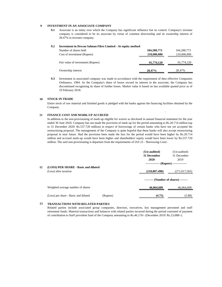#### **9 INVESTMENT IN AN ASSOCIATE COMPANY**

**9.1** Associate is an entity over which the Company has significant influence but no control. Company's investee company is considered to be its associate by virtue of common directorship and its ownership interest of 28.47% in investee company.

#### **9.2 Investment in Dewan Salman Fibre Limited - At equity method**

| Number of shares held             | 104,288,773 | 104,288,773 |
|-----------------------------------|-------------|-------------|
| Cost of investment (Rupees)       | 210,000,000 | 210,000,000 |
| Fair value of investment (Rupees) | 91,774,120  | 91,774,120  |
| Ownership interest                | 28.47%      | 28.47%      |

**9.3** Investment in associated company was made in accordance with the requirement of then effective Companies Ordinance, 1984. As the Company's share of losses exceed its interest in the associate, the Company has discontinued recognising its share of further losses. Market value is based on last available quoted price as of 19 February 2018.

#### **10 STOCK IN TRADE**

Entire stock of raw material and finished goods is pledged with the banks against the financing facilities obtained by the Company.

.

#### **11 FINANCE COST AND MARK-UP ACCRUED**

In addition to the non-provisioning of mark-up eligible for waiver as disclosed in annual financial statement for the year ended 30 June 2020, Company has not made the provision of mark-up for the period amounting to Rs.20.714 million (up to 31 December 2020: Rs.537.720 million) in respect of borrowings of certain banks who have not yet accepted the restructuring proposal. The management of the Company is quite hopeful that these banks will also accept restructuring proposal in near future. Had the provision been made the loss for the period would have been higher by Rs.20.714 million and accrued mark-up would have been higher and shareholders' equity would have been lower by Rs.537.720 million. The said non-provisioning is departure from the requirements of IAS 23 - 'Borrowing Costs'.

|    |                                      |          | (Un-audited)                           | (Un-audited)    |
|----|--------------------------------------|----------|----------------------------------------|-----------------|
|    |                                      |          | 31 December                            | 31 December     |
|    |                                      |          | 2020                                   | 2019            |
|    |                                      |          | -------------- (Rupees) -------------- |                 |
| 12 | (LOSS) PER SHARE - Basic and diluted |          |                                        |                 |
|    | (Loss) after taxation                |          | (218, 887, 498)                        | (271, 017, 565) |
|    |                                      |          |                                        |                 |
|    |                                      |          | -------- (Number of shares) --------   |                 |
|    | Weighted average number of shares    |          | 46,064,609                             | 46,064,609      |
|    | (Loss) per share - Basic and diluted | (Rupees) | (4.75)                                 | (5.88)          |

#### **13 TRANSACTIONS WITH RELATED PARTIES**

Related parties include associated group companies, directors, executives, key management personnel and staff retirement funds. Material transactions and balances with related parties incurred during the period consisted of payment of contribution to Staff provident fund of the Company amounting to Rs.46,176/- (December 2019: Rs.23,088/-).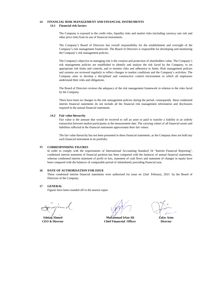#### **14 FINANCIAL RISK MANAGEMENT AND FINANCIAL INSTRUMENTS 14.1 Financial risk factors**

The Company is exposed to the credit risks, liquidity risks and market risks (including currency rate risk and other price risk) from its use of financial instruments.

The Company's Board of Directors has overall responsibility for the establishment and oversight of the Company's risk management framework. The Board of Directors is responsible for developing and monitoring the Company's risk management policies.

The Company's objective in managing risk is the creation and protection of shareholders value. The Company's risk management policies are established to identify and analyse the risk faced by the Company, to set appropriate risk limits and controls, and to monitor risks and adherence to limits. Risk management policies and systems are reviewed regularly to reflect changes in market conditions and the Company's activities. The Company aims to develop a disciplined and constructive control environment in which all employees understand their roles and obligations.

The Board of Directors reviews the adequacy of the risk management framework in relation to the risks faced by the Company.

There have been no changes in the risk management policies during the period, consequently these condensed interim financial statements do not include all the financial risk management information and disclosures required in the annual financial statements.

#### **14.2 Fair value hierarchy**

Fair value is the amount that would be received to sell an asset or paid to transfer a liability in an orderly transaction between market participants at the measurement date. The carrying values of all financial assets and liabilities reflected in the financial statements approximate their fair values.

The fair value hierarchy has not been presented in these financial statements, as the Company does not hold any such financial instrument in its portfolio.

#### **15 CORRESPONDING FIGURES**

In order to comply with the requirements of International Accounting Standard 34 "Interim Financial Reporting", condensed interim statement of financial position has been compared with the balances of annual financial statements, whereas condensed interim statement of profit or loss, statement of cash flows and statement of changes in equity have been compared with the balances of comparable period of immediately preceding financial year.

#### **16 DATE OF AUTHORISATION FOR ISSUE**

These condensed interim financial statements were authorised for issue on 22nd February, 2021 by the Board of Directors of the Company.

#### **17 GENERAL**

Figures have been rounded off to the nearest rupee.

**CEO & Director Ishtiaq Ahmed**

**Muhammad Irfan Ali Zafar Asim Chief Financeial Officer Director**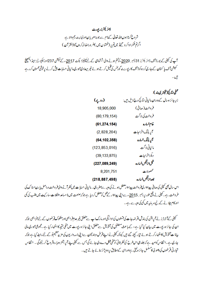## ڈائر یکٹرزر پورٹ

شروع کرتا ہوں اللہ تعالیٰ کےنا م ہے جو بڑامہر با ن اورنہایت رحم والا ہے اگرتم شکرا داکر و گےتو میںتم پر (نعمتو ں میں )ضر وراضا فہ کروں گا (القر آن )

آپ کی کمپنی کے بورڈ آف ڈائر یکٹرز 31 دسمبر 2020 کو ختم ہونے والی ششاہی کے لئے کپینیزا یکٹ 2017ء کے کیکش 237اور سکیو رٹیز اینڈ ایکچینج میشن<del>آ</del> ف پا کسان کے جاری کر دہ کوڈ آف کار پوریٹ گورنٹس کی تقمیل کرتے ہوئے غیر میعادی عبوری**،**الیاتی حسابات پیش کرنے پرخوشی محسو*ں کر د*یے تيں۔

|                 | مملین کاری(فیکٹر ڈیٹد)<br>مسلمان                  |
|-----------------|---------------------------------------------------|
| (روپے)          | زیر جائز ہسال کے دوران مالیاتی متائج درج ذیل ہیں: |
| 18,905,000      | فروخت(صافي)                                       |
| (80, 179, 154)  | فروخت كي لاگت                                     |
| (61, 274, 154)  | غام خساره                                         |
| (2,828,204)     | آپریڈنگ اخراجات                                   |
| (64, 102, 358)  | أيريننگ خباره                                     |
| (123, 853, 016) | مالياتي لاگت                                      |
| (39, 133, 875)  | ديگراخراجات                                       |
| (227,089,249)   | قبل ازقيكن خساره                                  |
| 8,201,751       | محصولات                                           |
| (218, 887, 498) | بسدا زنگمن خساره                                  |

اس سال بھی کمپنی کی صافی پیدا دار می فروخت پیدا دار معطل ہونے کی دی<sub>ھ</sub> ہے صفر رہی ۔ مالیاتی حسابات میں نظر آنے والی فروخت دراصل ہ<u>ا</u> رن اسٹا ک کی فروخت ہے۔ کمپنی نے وقتی طور پر دسمبر 2<u>01</u>5ء سے اپنی پیداوار کے *عمل کو معطل کر*دیا ہے جوکہ صنعت میں نا مساعد مشکلات، مار کیٹ میں طلب کی کی اور کام چلانے کے لیےسر مابیہ میں کماکی دیہ ہے ۔

سمپنی کےآ ڈیٹرز نے آپریشن کی بندش بقر ضدحات کی تشطوں کیا دائیگیا ور مارک اپ ہے متعلق غیر عدم فراہمی اورمشکوک قرضوں کے لئے فراہمی جوکہ ان کی جائز ہ رپورٹ میں بیان کیا گیا ہے ، کے باعث متعقبل کی تشویش ہے متعلق اپنی جائز ہ رپورٹ میں منفی نتیجہ کا اظہار کیا ہے ۔مجموعی عبوری مالی بیانا ت تشویش کااظہارکرتے ہوئے تیار کیئے گئے ہیں کیونکہ کمپنی نے اپنے قرض دہند گان سےاپنی ذمہ داریوں کی مزید تنظیم نو کے لئے رابطہ کیاہے جوکہ جاری ہے۔انتظامیہ کوامید ہے کہ جلد ہی اس طرح کی نظر ثانی کوحتمی شکل دےدی جائے گی جس ہے کمپنی پئے آپریشنز دوبارہ شروع کر سکے گی ۔ انتظامیہ خجارتی فرضوں کی دھو لی کامسلسل جائز ہلیتی ہےاورای کے مطابق پر وویژنز بنائے جاتے ہیں۔